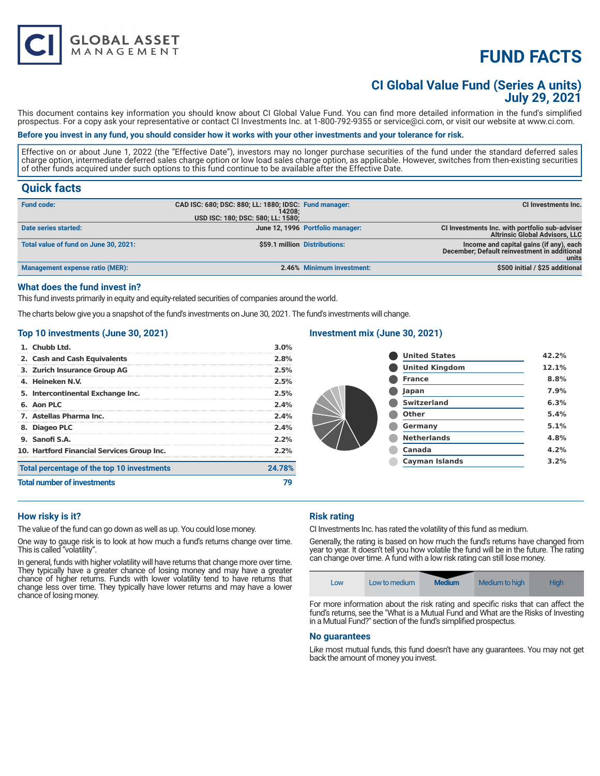# **FUND FACTS**

## **CI Global Value Fund (Series A units) July 29, 2021**

This document contains key information you should know about CI Global Value Fund. You can find more detailed information in the fund's simplified prospectus. For a copy ask your representative or contact CI Investments Inc. at 1-800-792-9355 or service@ci.com, or visit our website at www.ci.com.

#### **Before you invest in any fund, you should consider how it works with your other investments and your tolerance for risk.**

Effective on or about June 1, 2022 (the "Effective Date"), investors may no longer purchase securities of the fund under the standard deferred sales charge option, intermediate deferred sales charge option or low load sales charge option, as applicable. However, switches from then-existing securities of other funds acquired under such options to this fund continue to be available after the Effective Date.

### **Quick facts**

| <b>Fund code:</b>                     | CAD ISC: 680; DSC: 880; LL: 1880; IDSC: Fund manager:<br>14208:<br>USD ISC: 180; DSC: 580; LL: 1580; |                                  | CI Investments Inc.                                                                              |
|---------------------------------------|------------------------------------------------------------------------------------------------------|----------------------------------|--------------------------------------------------------------------------------------------------|
| Date series started:                  |                                                                                                      | June 12, 1996 Portfolio manager: | CI Investments Inc. with portfolio sub-adviser<br><b>Altrinsic Global Advisors, LLC</b>          |
| Total value of fund on June 30, 2021: |                                                                                                      | \$59.1 million Distributions:    | Income and capital gains (if any), each<br>December; Default reinvestment in additional<br>units |
| Management expense ratio (MER):       |                                                                                                      | 2.46% Minimum investment:        | \$500 initial / \$25 additional                                                                  |

#### **What does the fund invest in?**

This fund invests primarily in equity and equity-related securities of companies around the world.

The charts below give you a snapshot of the fund's investments on June 30, 2021. The fund's investments will change.

#### **Top 10 investments (June 30, 2021)**

**GLOBAL ASSET**<br>MANAGEMENT

| 10. Hartford Financial Services Group Inc. | 2.2% |
|--------------------------------------------|------|
| 9. Sanofi S.A.                             |      |
| 8. Diageo PLC                              | 2.4% |
| 7. Astellas Pharma Inc.                    | 2.4% |
| 6. Aon PLC                                 | 2.4% |
| 5. Intercontinental Exchange Inc.          | 2.5% |
| 4. Heineken N.V.                           | 2.5% |
| 3. Zurich Insurance Group AG               | 2.5% |
| 2. Cash and Cash Equivalents               | 2.8% |
| 1. Chubb Ltd.                              | 3.0% |

#### **Investment mix (June 30, 2021)**

| <b>United States</b>  | 42.2% |
|-----------------------|-------|
| <b>United Kingdom</b> | 12.1% |
| <b>France</b>         | 8.8%  |
| Japan                 | 7.9%  |
| <b>Switzerland</b>    | 6.3%  |
| Other                 | 5.4%  |
| Germany               | 5.1%  |
| <b>Netherlands</b>    | 4.8%  |
| Canada                | 4.2%  |
| <b>Cayman Islands</b> | 3.2%  |
|                       |       |

#### **How risky is it?**

The value of the fund can go down as well as up. You could lose money.

One way to gauge risk is to look at how much a fund's returns change over time. This is called "volatility".

In general, funds with higher volatility will have returns that change more over time. They typically have a greater chance of losing money and may have a greater chance of higher returns. Funds with lower volatility tend to have returns that change less over time. They typically have lower returns and may have a lower chance of losing money.

### **Risk rating**

CI Investments Inc. has rated the volatility of this fund as medium.

Generally, the rating is based on how much the fund's returns have changed from year to year. It doesn't tell you how volatile the fund will be in the future. The rating can change over time. A fund with a low risk rating can still lose money.



For more information about the risk rating and specific risks that can affect the fund's returns, see the "What is a Mutual Fund and What are the Risks of Investing in a Mutual Fund?" section of the fund's simplified prospectus.

#### **No guarantees**

Like most mutual funds, this fund doesn't have any guarantees. You may not get back the amount of money you invest.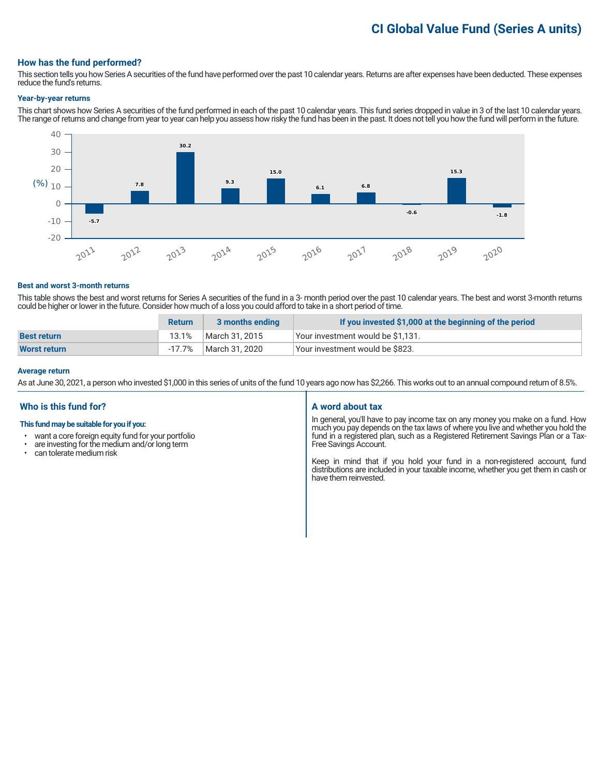# **CI Global Value Fund (Series A units)**

#### **How has the fund performed?**

This section tells you how Series A securities of the fund have performed over the past 10 calendar years. Returns are after expenses have been deducted. These expenses reduce the fund's returns.

#### **Year-by-year returns**

This chart shows how Series A securities of the fund performed in each of the past 10 calendar years. This fund series dropped in value in 3 of the last 10 calendar years. The range of returns and change from year to year can help you assess how risky the fund has been in the past. It does not tell you how the fund will perform in the future.



#### **Best and worst 3-month returns**

This table shows the best and worst returns for Series A securities of the fund in a 3- month period over the past 10 calendar years. The best and worst 3-month returns could be higher or lower in the future. Consider how much of a loss you could afford to take in a short period of time.

|                    | <b>Return</b> | 3 months ending | If you invested \$1,000 at the beginning of the period |
|--------------------|---------------|-----------------|--------------------------------------------------------|
| <b>Best return</b> | 13.1%         | March 31, 2015  | Your investment would be \$1,131.                      |
| Worst return       | $-17.7%$      | March 31, 2020  | Vour investment would be \$823.                        |

#### **Average return**

As at June 30, 2021, a person who invested \$1,000 in this series of units of the fund 10 years ago now has \$2,266. This works out to an annual compound return of 8.5%.

#### **Who is this fund for?**

#### **This fund may be suitable for you if you:**

- want a core foreign equity fund for your portfolio<br>• are investing for the medium and/or long term
- $\cdot$  are investing for the medium and/or long term  $\cdot$  can telerate medium risk
- can tolerate medium risk

#### **A word about tax**

In general, you'll have to pay income tax on any money you make on a fund. How much you pay depends on the tax laws of where you live and whether you hold the fund in a registered plan, such as a Registered Retirement Savings Plan or a Tax-Free Savings Account.

Keep in mind that if you hold your fund in a non-registered account, fund distributions are included in your taxable income, whether you get them in cash or have them reinvested.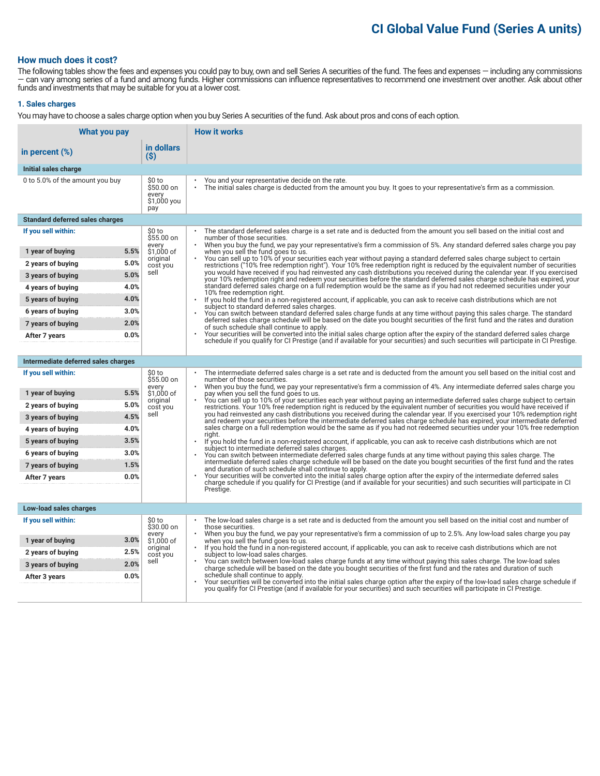# **CI Global Value Fund (Series A units)**

#### **How much does it cost?**

The following tables show the fees and expenses you could pay to buy, own and sell Series A securities of the fund. The fees and expenses — including any commissions — can vary among series of a fund and among funds. Higher commissions can influence representatives to recommend one investment over another. Ask about other funds and investments that may be suitable for you at a lower cost.

#### **1. Sales charges**

You may have to choose a sales charge option when you buy Series A securities of the fund. Ask about pros and cons of each option.

| What you pay                           |                                                     | <b>How it works</b>                                                                                                                                                                                                                                                                   |
|----------------------------------------|-----------------------------------------------------|---------------------------------------------------------------------------------------------------------------------------------------------------------------------------------------------------------------------------------------------------------------------------------------|
| in percent $(\%)$                      | in dollars<br>(S)                                   |                                                                                                                                                                                                                                                                                       |
| Initial sales charge                   |                                                     |                                                                                                                                                                                                                                                                                       |
| 0 to 5.0% of the amount you buy        | \$0 to<br>\$50.00 on<br>every<br>\$1,000 you<br>pay | You and your representative decide on the rate.<br>The initial sales charge is deducted from the amount you buy. It goes to your representative's firm as a commission.                                                                                                               |
| <b>Standard deferred sales charges</b> |                                                     |                                                                                                                                                                                                                                                                                       |
| If you sell within:                    | \$0 to<br>\$55.00 on                                | The standard deferred sales charge is a set rate and is deducted from the amount you sell based on the initial cost and<br>number of those securities.                                                                                                                                |
| 5.5%<br>1 year of buying               | every<br>\$1.000 of                                 | When you buy the fund, we pay your representative's firm a commission of 5%. Any standard deferred sales charge you pay<br>when you sell the fund goes to us.                                                                                                                         |
| 5.0%<br>2 years of buying              | original<br>cost you                                | You can sell up to 10% of your securities each year without paying a standard deferred sales charge subject to certain<br>restrictions ("10% free redemption right"). Your 10% free redemption right is reduced by the equivalent number of securities                                |
| 5.0%<br>3 years of buying              | sell                                                | you would have received if you had reinvested any cash distributions you received during the calendar year. If you exercised<br>your 10% redemption right and redeem your securities before the standard deferred sales charge schedule has expired, your                             |
| 4.0%<br>4 years of buying              |                                                     | standard deferred sales charge on a full redemption would be the same as if you had not redeemed securities under your<br>10% free redemption right.                                                                                                                                  |
| 4.0%<br>5 years of buying              |                                                     | $\bullet$<br>If you hold the fund in a non-registered account, if applicable, you can ask to receive cash distributions which are not<br>subject to standard deferred sales charges.                                                                                                  |
| 3.0%<br>6 years of buying              |                                                     | You can switch between standard deferred sales charge funds at any time without paying this sales charge. The standard                                                                                                                                                                |
| 2.0%<br>7 years of buying              |                                                     | deferred sales charge schedule will be based on the date you bought securities of the first fund and the rates and duration<br>of such schedule shall continue to apply.                                                                                                              |
| 0.0%<br>After 7 years                  |                                                     | Your securities will be converted into the initial sales charge option after the expiry of the standard deferred sales charge<br>schedule if you qualify for CI Prestige (and if available for your securities) and such securities will participate in CI Prestige.                  |
|                                        |                                                     |                                                                                                                                                                                                                                                                                       |
| Intermediate deferred sales charges    |                                                     |                                                                                                                                                                                                                                                                                       |
| If you sell within:                    | \$0 to<br>\$55.00 on<br>every                       | The intermediate deferred sales charge is a set rate and is deducted from the amount you sell based on the initial cost and<br>number of those securities.<br>When you buy the fund, we pay your representative's firm a commission of 4%. Any intermediate deferred sales charge you |
| 5.5%<br>1 year of buying               | \$1,000 of                                          | pay when you sell the fund goes to us.                                                                                                                                                                                                                                                |
| 5.0%<br>2 years of buying              | original<br>cost you                                | You can sell up to 10% of your securities each year without paying an intermediate deferred sales charge subject to certain<br>restrictions. Your 10% free redemption right is reduced by the equivalent number of securities you would have received if                              |
| 4.5%<br>3 years of buying              | sell                                                | you had reinvested any cash distributions you received during the calendar year. If you exercised your 10% redemption right<br>and redeem your securities before the intermediate deferred sales charge schedule has expired, your intermediate deferred                              |
| 4.0%<br>4 years of buying              |                                                     | sales charge on a full redemption would be the same as if you had not redeemed securities under your 10% free redemption<br>riaht.                                                                                                                                                    |
| 3.5%<br>5 years of buying              |                                                     | If you hold the fund in a non-registered account, if applicable, you can ask to receive cash distributions which are not<br>subject to intermediate deferred sales charges.                                                                                                           |
| 3.0%<br>6 years of buying              |                                                     | You can switch between intermediate deferred sales charge funds at any time without paying this sales charge. The<br>intermediate deferred sales charge schedule will be based on the date you bought securities of the first fund and the rates                                      |
| 7 years of buying<br>1.5%              |                                                     | and duration of such schedule shall continue to apply.                                                                                                                                                                                                                                |
| 0.0%<br>After 7 years                  |                                                     | Your securities will be converted into the initial sales charge option after the expiry of the intermediate deferred sales<br>charge schedule if you qualify for CI Prestige (and if available for your securities) and such securities will participate in CI                        |
|                                        |                                                     | Prestige.                                                                                                                                                                                                                                                                             |
| Low-load sales charges                 |                                                     |                                                                                                                                                                                                                                                                                       |
| If you sell within:                    | \$0 to<br>\$30.00 on                                | The low-load sales charge is a set rate and is deducted from the amount you sell based on the initial cost and number of<br>those securities.                                                                                                                                         |
| 3.0%                                   | every                                               | When you buy the fund, we pay your representative's firm a commission of up to 2.5%. Any low-load sales charge you pay                                                                                                                                                                |
| 1 year of buying<br>2.5%               | \$1,000 of<br>original                              | when you sell the fund goes to us.<br>If you hold the fund in a non-registered account, if applicable, you can ask to receive cash distributions which are not                                                                                                                        |
| 2 years of buying<br>2.0%              | cost you<br>sell                                    | subject to low-load sales charges.<br>You can switch between low-load sales charge funds at any time without paying this sales charge. The low-load sales                                                                                                                             |
| 3 years of buying<br>0.0%              |                                                     | charge schedule will be based on the date you bought securities of the first fund and the rates and duration of such<br>schedule shall continue to apply.                                                                                                                             |
| After 3 years                          |                                                     | Your securities will be converted into the initial sales charge option after the expiry of the low-load sales charge schedule if<br>you qualify for CI Prestige (and if available for your securities) and such securities will participate in CI Prestige.                           |